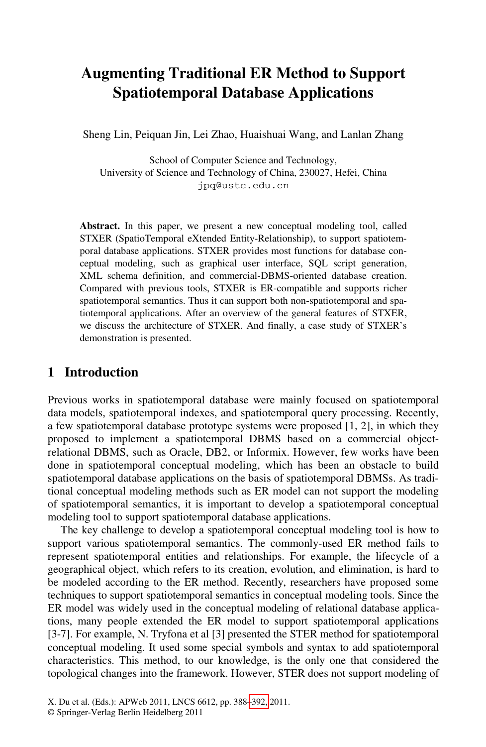# **Augmenting Traditional ER Method to Support Spatiotemporal Database Applications**

Sheng Lin, Peiquan Jin, Lei Zhao, Huaishuai Wang, and Lanlan Zhang

School of Computer Science and Technology, University of Science and Technology of China, 230027, Hefei, China jpq@ustc.edu.cn

Abstract. In this paper, we present a new conceptual modeling tool, called STXER (SpatioTemporal eXtended Entity-Relationship), to support spatiotemporal database applications. STXER provides most functions for database conceptual modeling, such as graphical user interface, SQL script generation, XML schema definition, and commercial-DBMS-oriented database creation. Compared with previous tools, STXER is ER-compatible and supports richer spatiotemporal semantics. Thus it can support both non-spatiotemporal and spatiotemporal applications. After an overview of the general features of STXER, we discuss the architecture of STXER. And finally, a case study of STXER's demonstration is presented.

## **1 Introduction**

Previous works in spatiotemporal database were mainly focused on spatiotemporal data models, spatiotemporal indexes, and spatiotemporal query processing. Recently, a few spatiotemporal database prototype systems were proposed [1, 2], in which they proposed to implement a spatiotemporal DBMS based on a commercial objectrelational DBMS, such as Oracle, DB2, or Informix. However, few works have been done in spatiotemporal conceptual modeling, which has been an obstacle to build spatiotemporal database applications on the basis of spatiotemporal DBMSs. As traditional conceptual modeling methods such as ER model can not support the modeling of spatiotemporal semantics, it is important to develop a spatiotemporal conceptual modeling tool to support spatiotemporal database applications.

The key challenge to develop a spatiotemporal conceptual modeling tool is how to support various spatiotemporal semantics. The commonly-used ER method fails to represent spatiotemporal entities and relationships. For example, the lifecycle of a geographical object, which refers to its creation, evolution, and elimination, is hard to be modeled according to the ER method. Recently, researchers have proposed some techniques to support spatiotemporal semantics in conceptual modeling tools. Since the ER model was widely used in the conceptual modeling of relational database applications, many people extended the ER model to support spatiotemporal applications [3-7]. For example, N. Tryfona et al [3] presented the STER method for spatiotemporal conceptual modeling. It used some special symbols and syntax to add spatiotemporal characteristics. This method, to our knowledge, is the only one that considered the topological changes into the framework. However, STER does not support modeling of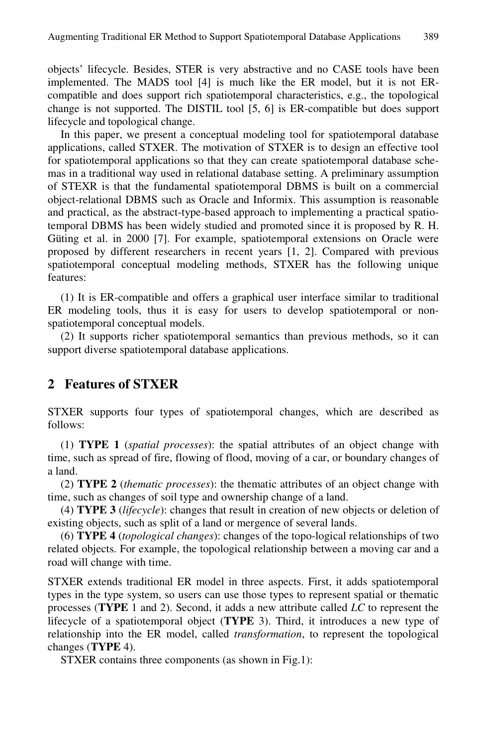objects' lifecycle. Besides, STER is very abstractive and no CASE tools have been implemented. The MADS tool [4] is much like the ER model, but it is not ERcompatible and does support rich spatiotemporal characteristics, e.g., the topological change is not supported. The DISTIL tool [5, 6] is ER-compatible but does support lifecycle and topological change.

In this paper, we present a conceptual modeling tool for spatiotemporal database applications, called STXER. The motivation of STXER is to design an effective tool for spatiotemporal applications so that they can create spatiotemporal database schemas in a traditional way used in relational database setting. A preliminary assumption of STEXR is that the fundamental spatiotemporal DBMS is built on a commercial object-relational DBMS such as Oracle and Informix. This assumption is reasonable and practical, as the abstract-type-based approach to implementing a practical spatiotemporal DBMS has been widely studied and promoted since it is proposed by R. H. Güting et al. in 2000 [7]. For example, spatiotemporal extensions on Oracle were proposed by different researchers in recent years [1, 2]. Compared with previous spatiotemporal conceptual modeling methods, STXER has the following unique features:

(1) It is ER-compatible and offers a graphical user interface similar to traditional ER modeling tools, thus it is easy for users to develop spatiotemporal or nonspatiotemporal conceptual models.

(2) It supports richer spatiotemporal semantics than previous methods, so it can support diverse spatiotemporal database applications.

#### **2 Features of STXER**

STXER supports four types of spatiotemporal changes, which are described as follows:

(1) **TYPE 1** (*spatial processes*): the spatial attributes of an object change with time, such as spread of fire, flowing of flood, moving of a car, or boundary changes of a land.

(2) **TYPE 2** (*thematic processes*): the thematic attributes of an object change with time, such as changes of soil type and ownership change of a land.

(4) **TYPE 3** (*lifecycle*): changes that result in creation of new objects or deletion of existing objects, such as split of a land or mergence of several lands.

(6) **TYPE 4** (*topological changes*): changes of the topo-logical relationships of two related objects. For example, the topological relationship between a moving car and a road will change with time.

STXER extends traditional ER model in three aspects. First, it adds spatiotemporal types in the type system, so users can use those types to represent spatial or thematic processes (**TYPE** 1 and 2). Second, it adds a new attribute called *LC* to represent the lifecycle of a spatiotemporal object (**TYPE** 3). Third, it introduces a new type of relationship into the ER model, called *transformation*, to represent the topological changes (**TYPE** 4).

STXER contains three components (as shown in Fig.1):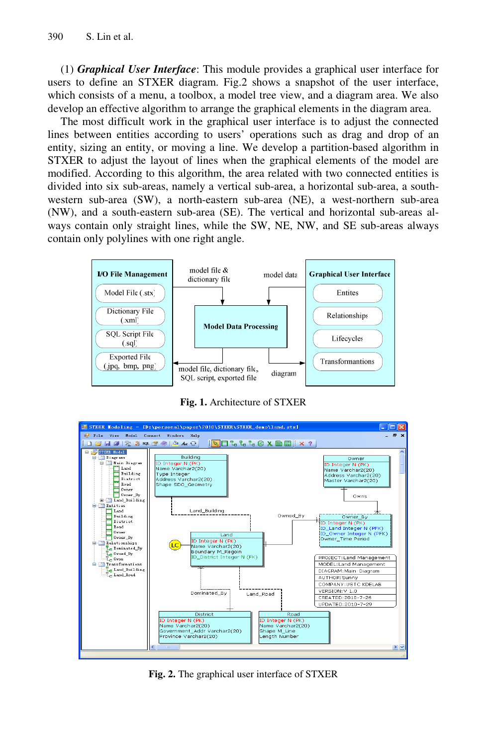(1) *Graphical User Interface*: This module provides a graphical user interface for users to define an STXER diagram. Fig.2 shows a snapshot of the user interface, which consists of a menu, a toolbox, a model tree view, and a diagram area. We also develop an effective algorithm to arrange the graphical elements in the diagram area.

The most difficult work in the graphical user interface is to adjust the connected lines between entities according to users' operations such as drag and drop of an entity, sizing an entity, or moving a line. We develop a partition-based algorithm in STXER to adjust the layout of lines when the graphical elements of the model are modified. According to this algorithm, the area related with two connected entities is divided into six sub-areas, namely a vertical sub-area, a horizontal sub-area, a southwestern sub-area (SW), a north-eastern sub-area (NE), a west-northern sub-area (NW), and a south-eastern sub-area (SE). The vertical and horizontal sub-areas always contain only straight lines, while the SW, NE, NW, and SE sub-areas always contain only polylines with one right angle.



**Fig. 1.** Architecture of STXER



**Fig. 2.** The graphical user interface of STXER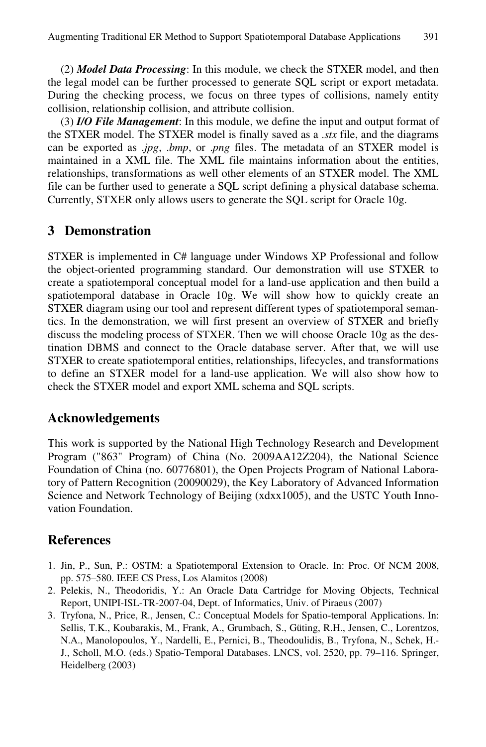(2) *Model Data Processing*: In this module, we check the STXER model, and then the legal model can be further processed to generate SQL script or export metadata. During the checking process, we focus on three types of collisions, namely entity collision, relationship collision, and attribute collision.

(3) *I/O File Management*: In this module, we define the input and output format of the STXER model. The STXER model is finally saved as a .*stx* file, and the diagrams can be exported as .*jpg*, .*bmp*, or .*png* files. The metadata of an STXER model is maintained in a XML file. The XML file maintains information about the entities, relationships, transformations as well other elements of an STXER model. The XML file can be further used to generate a SQL script defining a physical database schema. Currently, STXER only allows users to generate the SQL script for Oracle 10g.

## **3 Demonstration**

STXER is implemented in C# language under Windows XP Professional and follow the object-oriented programming standard. Our demonstration will use STXER to create a spatiotemporal conceptual model for a land-use application and then build a spatiotemporal database in Oracle 10g. We will show how to quickly create an STXER diagram using our tool and represent different types of spatiotemporal semantics. In the demonstration, we will first present an overview of STXER and briefly discuss the modeling process of STXER. Then we will choose Oracle 10g as the destination DBMS and connect to the Oracle database server. After that, we will use STXER to create spatiotemporal entities, relationships, lifecycles, and transformations to define an STXER model for a land-use application. We will also show how to check the STXER model and export XML schema and SQL scripts.

## **Acknowledgements**

This work is supported by the National High Technology Research and Development Program ("863" Program) of China (No. 2009AA12Z204), the National Science Foundation of China (no. 60776801), the Open Projects Program of National Laboratory of Pattern Recognition (20090029), the Key Laboratory of Advanced Information Science and Network Technology of Beijing (xdxx1005), and the USTC Youth Innovation Foundation.

## **References**

- 1. Jin, P., Sun, P.: OSTM: a Spatiotemporal Extension to Oracle. In: Proc. Of NCM 2008, pp. 575–580. IEEE CS Press, Los Alamitos (2008)
- 2. Pelekis, N., Theodoridis, Y.: An Oracle Data Cartridge for Moving Objects, Technical Report, UNIPI-ISL-TR-2007-04, Dept. of Informatics, Univ. of Piraeus (2007)
- 3. Tryfona, N., Price, R., Jensen, C.: Conceptual Models for Spatio-temporal Applications. In: Sellis, T.K., Koubarakis, M., Frank, A., Grumbach, S., Güting, R.H., Jensen, C., Lorentzos, N.A., Manolopoulos, Y., Nardelli, E., Pernici, B., Theodoulidis, B., Tryfona, N., Schek, H.- J., Scholl, M.O. (eds.) Spatio-Temporal Databases. LNCS, vol. 2520, pp. 79–116. Springer, Heidelberg (2003)